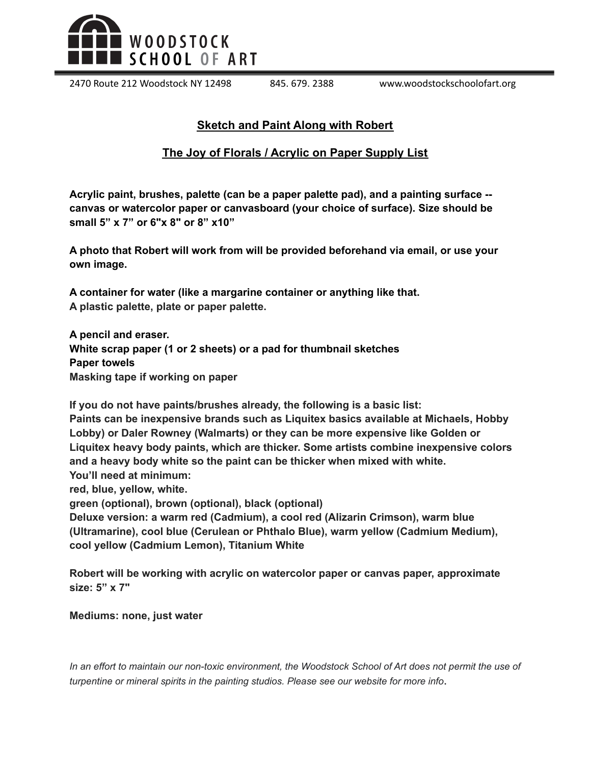

2470 Route 212 Woodstock NY 12498 845. 679. 2388 www.woodstockschoolofart.org

## **Sketch and Paint Along with Robert**

## **The Joy of Florals / Acrylic on Paper Supply List**

**Acrylic paint, brushes, palette (can be a paper palette pad), and a painting surface - canvas or watercolor paper or canvasboard (your choice of surface). Size should be small 5" x 7" or 6"x 8" or 8" x10"**

**A photo that Robert will work from will be provided beforehand via email, or use your own image.**

**A container for water (like a margarine container or anything like that. A plastic palette, plate or paper palette.**

**A pencil and eraser. White scrap paper (1 or 2 sheets) or a pad for thumbnail sketches Paper towels Masking tape if working on paper**

**If you do not have paints/brushes already, the following is a basic list: Paints can be inexpensive brands such as Liquitex basics available at Michaels, Hobby Lobby) or Daler Rowney (Walmarts) or they can be more expensive like Golden or Liquitex heavy body paints, which are thicker. Some artists combine inexpensive colors and a heavy body white so the paint can be thicker when mixed with white. You'll need at minimum:**

**red, blue, yellow, white.**

**green (optional), brown (optional), black (optional)**

**Deluxe version: a warm red (Cadmium), a cool red (Alizarin Crimson), warm blue (Ultramarine), cool blue (Cerulean or Phthalo Blue), warm yellow (Cadmium Medium), cool yellow (Cadmium Lemon), Titanium White**

**Robert will be working with acrylic on watercolor paper or canvas paper, approximate size: 5" x 7"**

## **Mediums: none, just water**

In an effort to maintain our non-toxic environment, the Woodstock School of Art does not permit the use of *turpentine or mineral spirits in the painting studios. Please see our website for more info*.